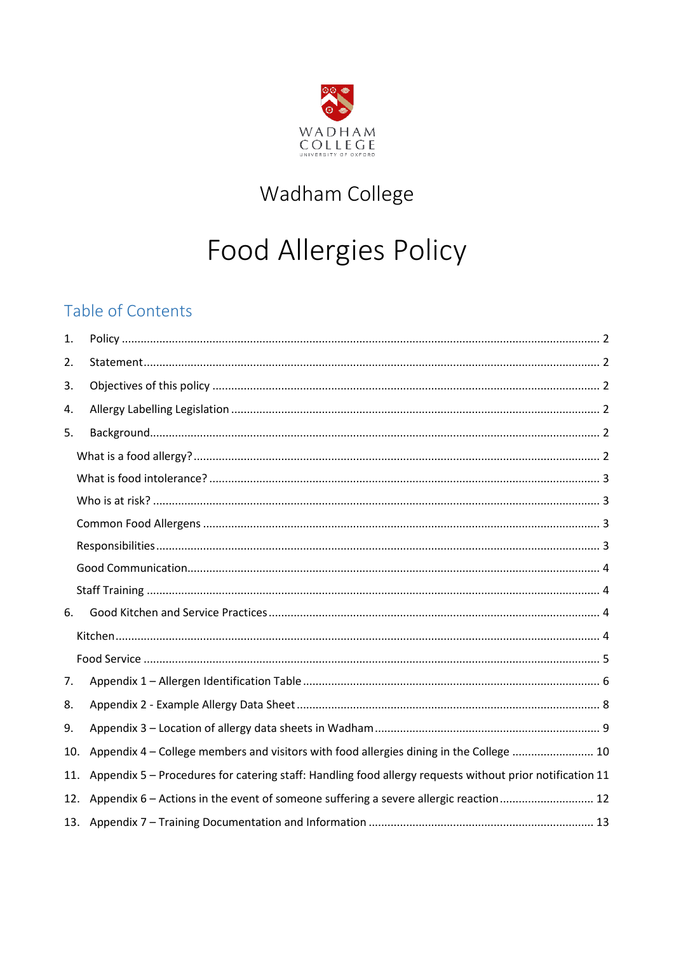

# Wadham College

# **Food Allergies Policy**

### Table of Contents

| 1.  |                                                                                                          |  |
|-----|----------------------------------------------------------------------------------------------------------|--|
| 2.  |                                                                                                          |  |
| 3.  |                                                                                                          |  |
| 4.  |                                                                                                          |  |
| 5.  |                                                                                                          |  |
|     |                                                                                                          |  |
|     |                                                                                                          |  |
|     |                                                                                                          |  |
|     |                                                                                                          |  |
|     |                                                                                                          |  |
|     |                                                                                                          |  |
|     |                                                                                                          |  |
| 6.  |                                                                                                          |  |
|     |                                                                                                          |  |
|     |                                                                                                          |  |
| 7.  |                                                                                                          |  |
| 8.  |                                                                                                          |  |
| 9.  |                                                                                                          |  |
| 10. | Appendix 4 - College members and visitors with food allergies dining in the College  10                  |  |
| 11. | Appendix 5 - Procedures for catering staff: Handling food allergy requests without prior notification 11 |  |
| 12. | Appendix 6 – Actions in the event of someone suffering a severe allergic reaction 12                     |  |
|     |                                                                                                          |  |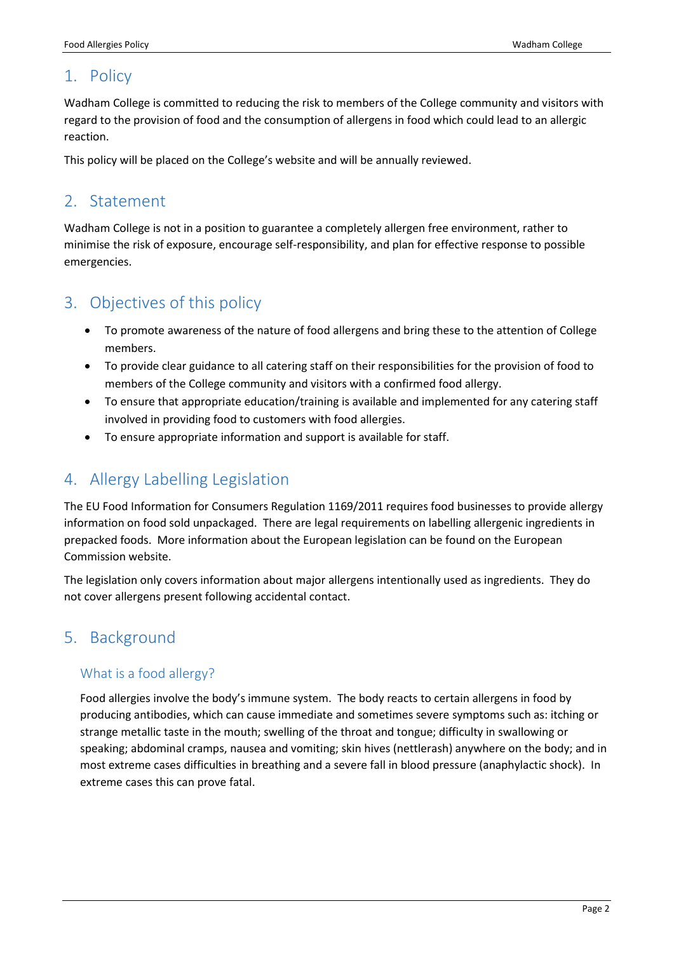### <span id="page-1-0"></span>1. Policy

Wadham College is committed to reducing the risk to members of the College community and visitors with regard to the provision of food and the consumption of allergens in food which could lead to an allergic reaction.

This policy will be placed on the College's website and will be annually reviewed.

### <span id="page-1-1"></span>2. Statement

Wadham College is not in a position to guarantee a completely allergen free environment, rather to minimise the risk of exposure, encourage self-responsibility, and plan for effective response to possible emergencies.

### <span id="page-1-2"></span>3. Objectives of this policy

- To promote awareness of the nature of food allergens and bring these to the attention of College members.
- To provide clear guidance to all catering staff on their responsibilities for the provision of food to members of the College community and visitors with a confirmed food allergy.
- To ensure that appropriate education/training is available and implemented for any catering staff involved in providing food to customers with food allergies.
- To ensure appropriate information and support is available for staff.

### <span id="page-1-3"></span>4. Allergy Labelling Legislation

The EU Food Information for Consumers Regulation 1169/2011 requires food businesses to provide allergy information on food sold unpackaged. There are legal requirements on labelling allergenic ingredients in prepacked foods. More information about the European legislation can be found on the European Commission website.

The legislation only covers information about major allergens intentionally used as ingredients. They do not cover allergens present following accidental contact.

### <span id="page-1-4"></span>5. Background

### <span id="page-1-5"></span>What is a food allergy?

Food allergies involve the body's immune system. The body reacts to certain allergens in food by producing antibodies, which can cause immediate and sometimes severe symptoms such as: itching or strange metallic taste in the mouth; swelling of the throat and tongue; difficulty in swallowing or speaking; abdominal cramps, nausea and vomiting; skin hives (nettlerash) anywhere on the body; and in most extreme cases difficulties in breathing and a severe fall in blood pressure (anaphylactic shock). In extreme cases this can prove fatal.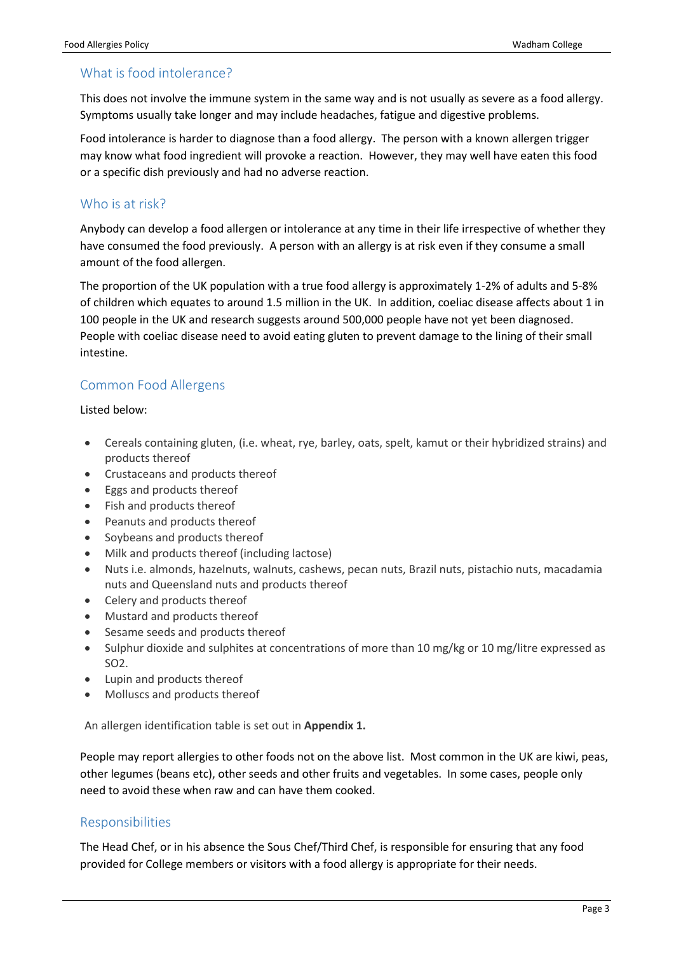### <span id="page-2-0"></span>What is food intolerance?

This does not involve the immune system in the same way and is not usually as severe as a food allergy. Symptoms usually take longer and may include headaches, fatigue and digestive problems.

Food intolerance is harder to diagnose than a food allergy. The person with a known allergen trigger may know what food ingredient will provoke a reaction. However, they may well have eaten this food or a specific dish previously and had no adverse reaction.

#### <span id="page-2-1"></span>Who is at risk?

Anybody can develop a food allergen or intolerance at any time in their life irrespective of whether they have consumed the food previously. A person with an allergy is at risk even if they consume a small amount of the food allergen.

The proportion of the UK population with a true food allergy is approximately 1-2% of adults and 5-8% of children which equates to around 1.5 million in the UK. In addition, coeliac disease affects about 1 in 100 people in the UK and research suggests around 500,000 people have not yet been diagnosed. People with coeliac disease need to avoid eating gluten to prevent damage to the lining of their small intestine.

### <span id="page-2-2"></span>Common Food Allergens

#### Listed below:

- Cereals containing gluten, (i.e. wheat, rye, barley, oats, spelt, kamut or their hybridized strains) and products thereof
- Crustaceans and products thereof
- Eggs and products thereof
- Fish and products thereof
- Peanuts and products thereof
- Soybeans and products thereof
- Milk and products thereof (including lactose)
- Nuts i.e. almonds, hazelnuts, walnuts, cashews, pecan nuts, Brazil nuts, pistachio nuts, macadamia nuts and Queensland nuts and products thereof
- Celery and products thereof
- Mustard and products thereof
- Sesame seeds and products thereof
- Sulphur dioxide and sulphites at concentrations of more than 10 mg/kg or 10 mg/litre expressed as SO2.
- Lupin and products thereof
- Molluscs and products thereof

An allergen identification table is set out in **Appendix 1.**

People may report allergies to other foods not on the above list. Most common in the UK are kiwi, peas, other legumes (beans etc), other seeds and other fruits and vegetables. In some cases, people only need to avoid these when raw and can have them cooked.

#### <span id="page-2-3"></span>Responsibilities

The Head Chef, or in his absence the Sous Chef/Third Chef, is responsible for ensuring that any food provided for College members or visitors with a food allergy is appropriate for their needs.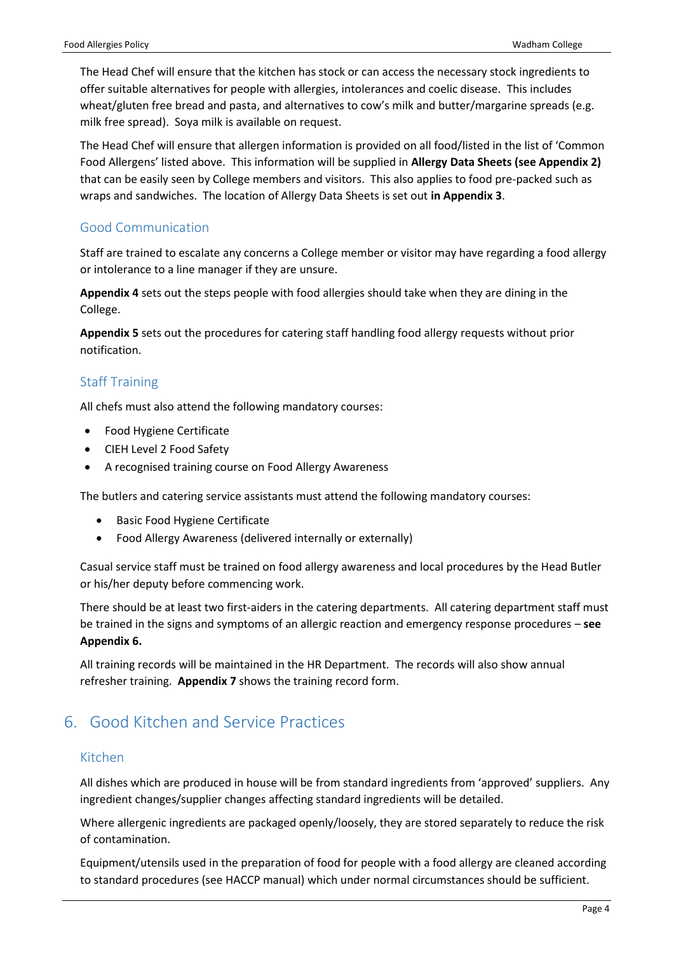The Head Chef will ensure that the kitchen has stock or can access the necessary stock ingredients to offer suitable alternatives for people with allergies, intolerances and coelic disease. This includes wheat/gluten free bread and pasta, and alternatives to cow's milk and butter/margarine spreads (e.g. milk free spread). Soya milk is available on request.

The Head Chef will ensure that allergen information is provided on all food/listed in the list of 'Common Food Allergens' listed above. This information will be supplied in **Allergy Data Sheets (see Appendix 2)** that can be easily seen by College members and visitors. This also applies to food pre-packed such as wraps and sandwiches. The location of Allergy Data Sheets is set out **in Appendix 3**.

### <span id="page-3-0"></span>Good Communication

Staff are trained to escalate any concerns a College member or visitor may have regarding a food allergy or intolerance to a line manager if they are unsure.

**Appendix 4** sets out the steps people with food allergies should take when they are dining in the College.

**Appendix 5** sets out the procedures for catering staff handling food allergy requests without prior notification.

### <span id="page-3-1"></span>Staff Training

All chefs must also attend the following mandatory courses:

- Food Hygiene Certificate
- CIEH Level 2 Food Safety
- A recognised training course on Food Allergy Awareness

The butlers and catering service assistants must attend the following mandatory courses:

- Basic Food Hygiene Certificate
- Food Allergy Awareness (delivered internally or externally)

Casual service staff must be trained on food allergy awareness and local procedures by the Head Butler or his/her deputy before commencing work.

There should be at least two first-aiders in the catering departments. All catering department staff must be trained in the signs and symptoms of an allergic reaction and emergency response procedures – **see Appendix 6.**

All training records will be maintained in the HR Department. The records will also show annual refresher training. **Appendix 7** shows the training record form.

### <span id="page-3-2"></span>6. Good Kitchen and Service Practices

#### <span id="page-3-3"></span>Kitchen

All dishes which are produced in house will be from standard ingredients from 'approved' suppliers. Any ingredient changes/supplier changes affecting standard ingredients will be detailed.

Where allergenic ingredients are packaged openly/loosely, they are stored separately to reduce the risk of contamination.

Equipment/utensils used in the preparation of food for people with a food allergy are cleaned according to standard procedures (see HACCP manual) which under normal circumstances should be sufficient.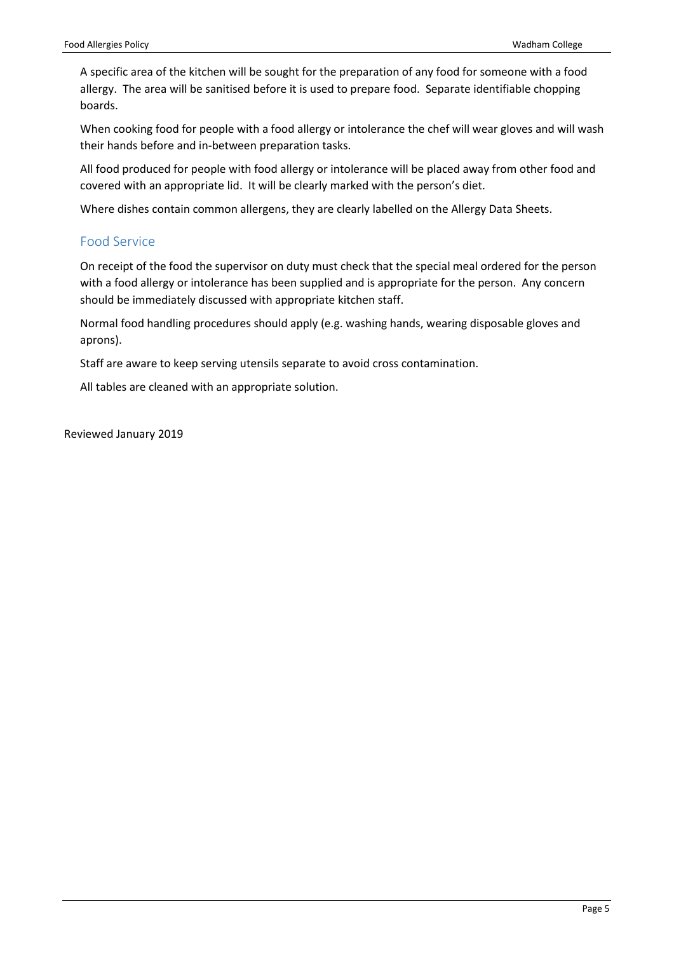A specific area of the kitchen will be sought for the preparation of any food for someone with a food allergy. The area will be sanitised before it is used to prepare food. Separate identifiable chopping boards.

When cooking food for people with a food allergy or intolerance the chef will wear gloves and will wash their hands before and in-between preparation tasks.

All food produced for people with food allergy or intolerance will be placed away from other food and covered with an appropriate lid. It will be clearly marked with the person's diet.

Where dishes contain common allergens, they are clearly labelled on the Allergy Data Sheets.

#### <span id="page-4-0"></span>Food Service

On receipt of the food the supervisor on duty must check that the special meal ordered for the person with a food allergy or intolerance has been supplied and is appropriate for the person. Any concern should be immediately discussed with appropriate kitchen staff.

Normal food handling procedures should apply (e.g. washing hands, wearing disposable gloves and aprons).

Staff are aware to keep serving utensils separate to avoid cross contamination.

All tables are cleaned with an appropriate solution.

Reviewed January 2019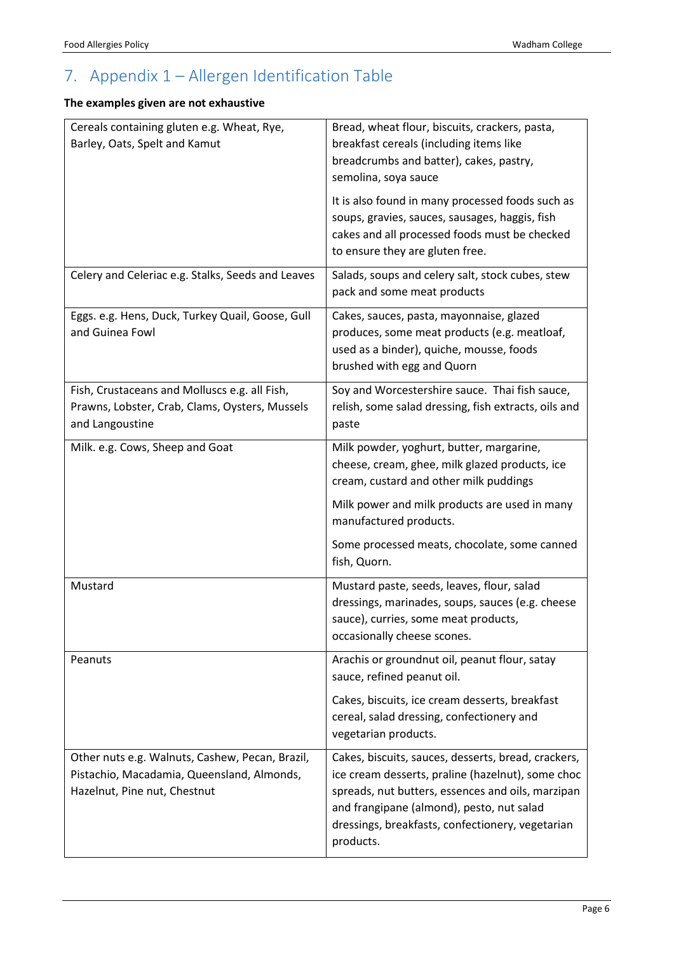# <span id="page-5-0"></span>7. Appendix 1 – Allergen Identification Table

### **The examples given are not exhaustive**

| Cereals containing gluten e.g. Wheat, Rye,<br>Barley, Oats, Spelt and Kamut                                                   | Bread, wheat flour, biscuits, crackers, pasta,<br>breakfast cereals (including items like<br>breadcrumbs and batter), cakes, pastry,<br>semolina, soya sauce<br>It is also found in many processed foods such as<br>soups, gravies, sauces, sausages, haggis, fish<br>cakes and all processed foods must be checked<br>to ensure they are gluten free. |
|-------------------------------------------------------------------------------------------------------------------------------|--------------------------------------------------------------------------------------------------------------------------------------------------------------------------------------------------------------------------------------------------------------------------------------------------------------------------------------------------------|
| Celery and Celeriac e.g. Stalks, Seeds and Leaves                                                                             | Salads, soups and celery salt, stock cubes, stew<br>pack and some meat products                                                                                                                                                                                                                                                                        |
| Eggs. e.g. Hens, Duck, Turkey Quail, Goose, Gull<br>and Guinea Fowl                                                           | Cakes, sauces, pasta, mayonnaise, glazed<br>produces, some meat products (e.g. meatloaf,<br>used as a binder), quiche, mousse, foods<br>brushed with egg and Quorn                                                                                                                                                                                     |
| Fish, Crustaceans and Molluscs e.g. all Fish,<br>Prawns, Lobster, Crab, Clams, Oysters, Mussels<br>and Langoustine            | Soy and Worcestershire sauce. Thai fish sauce,<br>relish, some salad dressing, fish extracts, oils and<br>paste                                                                                                                                                                                                                                        |
| Milk. e.g. Cows, Sheep and Goat                                                                                               | Milk powder, yoghurt, butter, margarine,<br>cheese, cream, ghee, milk glazed products, ice<br>cream, custard and other milk puddings                                                                                                                                                                                                                   |
|                                                                                                                               | Milk power and milk products are used in many<br>manufactured products.                                                                                                                                                                                                                                                                                |
|                                                                                                                               | Some processed meats, chocolate, some canned<br>fish, Quorn.                                                                                                                                                                                                                                                                                           |
| Mustard                                                                                                                       | Mustard paste, seeds, leaves, flour, salad<br>dressings, marinades, soups, sauces (e.g. cheese<br>sauce), curries, some meat products,<br>occasionally cheese scones.                                                                                                                                                                                  |
| Peanuts                                                                                                                       | Arachis or groundnut oil, peanut flour, satay<br>sauce, refined peanut oil.                                                                                                                                                                                                                                                                            |
|                                                                                                                               | Cakes, biscuits, ice cream desserts, breakfast<br>cereal, salad dressing, confectionery and<br>vegetarian products.                                                                                                                                                                                                                                    |
| Other nuts e.g. Walnuts, Cashew, Pecan, Brazil,<br>Pistachio, Macadamia, Queensland, Almonds,<br>Hazelnut, Pine nut, Chestnut | Cakes, biscuits, sauces, desserts, bread, crackers,<br>ice cream desserts, praline (hazelnut), some choc<br>spreads, nut butters, essences and oils, marzipan<br>and frangipane (almond), pesto, nut salad<br>dressings, breakfasts, confectionery, vegetarian<br>products.                                                                            |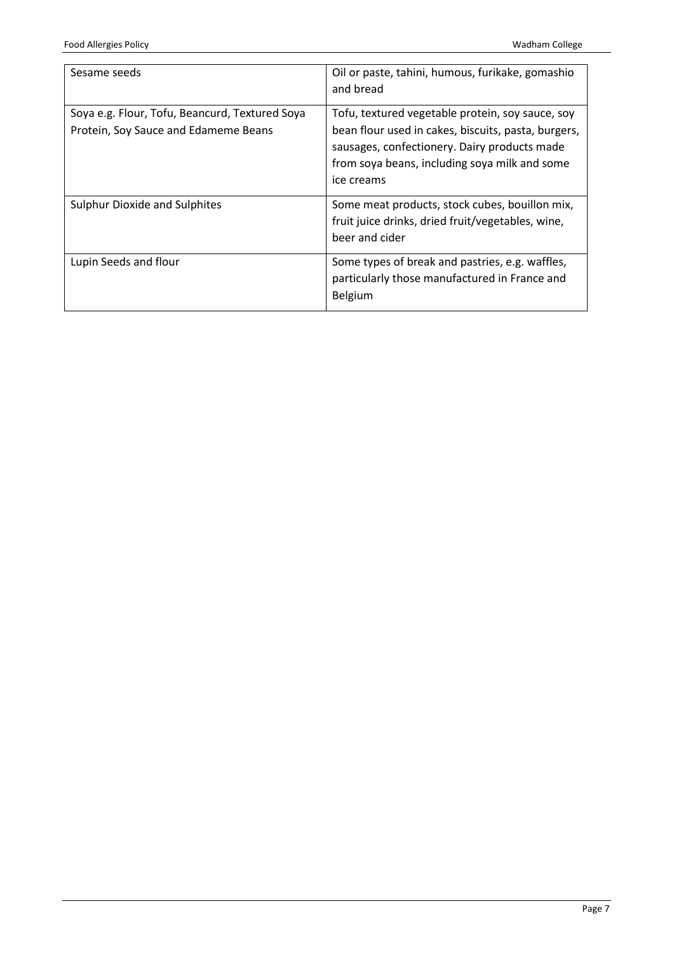| Sesame seeds                                                                           | Oil or paste, tahini, humous, furikake, gomashio<br>and bread                                                                                                                                                          |
|----------------------------------------------------------------------------------------|------------------------------------------------------------------------------------------------------------------------------------------------------------------------------------------------------------------------|
| Soya e.g. Flour, Tofu, Beancurd, Textured Soya<br>Protein, Soy Sauce and Edameme Beans | Tofu, textured vegetable protein, soy sauce, soy<br>bean flour used in cakes, biscuits, pasta, burgers,<br>sausages, confectionery. Dairy products made<br>from soya beans, including soya milk and some<br>ice creams |
| <b>Sulphur Dioxide and Sulphites</b>                                                   | Some meat products, stock cubes, bouillon mix,<br>fruit juice drinks, dried fruit/vegetables, wine,<br>beer and cider                                                                                                  |
| Lupin Seeds and flour                                                                  | Some types of break and pastries, e.g. waffles,<br>particularly those manufactured in France and<br>Belgium                                                                                                            |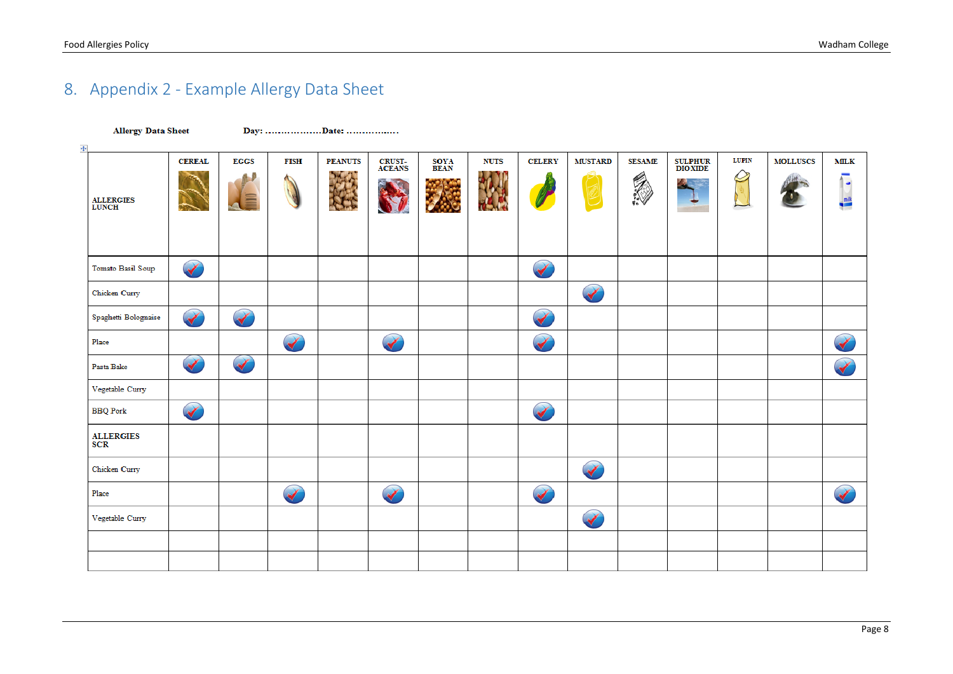# 8. Appendix 2 - Example Allergy Data Sheet

<span id="page-7-0"></span>

| <b>Allergy Data Sheet</b>      |                      | Day: Date:             |                      |                |                         |              |             |                      |                      |                           |                                  |              |                 |                               |
|--------------------------------|----------------------|------------------------|----------------------|----------------|-------------------------|--------------|-------------|----------------------|----------------------|---------------------------|----------------------------------|--------------|-----------------|-------------------------------|
| $\ddot{\div}$                  |                      |                        |                      |                |                         |              |             |                      |                      |                           |                                  |              |                 |                               |
| <b>ALLERGIES</b><br>LUNCH      | <b>CEREAL</b>        | <b>EGGS</b><br>iii iii | <b>FISH</b>          | <b>PEANUTS</b> | <b>CRUST-</b><br>ACEANS | SOYA<br>BEAN | <b>NUTS</b> | <b>CELERY</b>        | <b>MUSTARD</b>       | <b>SESAME</b><br><b>A</b> | <b>SULPHUR</b><br><b>DIOXIDE</b> | <b>LUPIN</b> | <b>MOLLUSCS</b> | <b>MILK</b><br>$\bullet$<br>e |
| Tomato Basil Soup              |                      |                        |                      |                |                         |              |             |                      |                      |                           |                                  |              |                 |                               |
| Chicken Curry                  |                      |                        |                      |                |                         |              |             |                      | $\blacktriangledown$ |                           |                                  |              |                 |                               |
| Spaghetti Bolognaise           | $\blacktriangledown$ | $\blacktriangledown$   |                      |                |                         |              |             | $\blacktriangledown$ |                      |                           |                                  |              |                 |                               |
| Place                          |                      |                        |                      |                |                         |              |             | $\blacktriangledown$ |                      |                           |                                  |              |                 | $\blacktriangledown$          |
| Pasta Bake                     |                      | $\blacktriangledown$   |                      |                |                         |              |             |                      |                      |                           |                                  |              |                 | $\blacktriangledown$          |
| Vegetable Curry                |                      |                        |                      |                |                         |              |             |                      |                      |                           |                                  |              |                 |                               |
| <b>BBQ</b> Pork                |                      |                        |                      |                |                         |              |             |                      |                      |                           |                                  |              |                 |                               |
| <b>ALLERGIES</b><br><b>SCR</b> |                      |                        |                      |                |                         |              |             |                      |                      |                           |                                  |              |                 |                               |
| Chicken Curry                  |                      |                        |                      |                |                         |              |             |                      | $\blacktriangledown$ |                           |                                  |              |                 |                               |
| Place                          |                      |                        | $\blacktriangledown$ |                |                         |              |             |                      |                      |                           |                                  |              |                 | $\overline{\blacklozenge}$    |
| Vegetable Curry                |                      |                        |                      |                |                         |              |             |                      | $\blacktriangledown$ |                           |                                  |              |                 |                               |
|                                |                      |                        |                      |                |                         |              |             |                      |                      |                           |                                  |              |                 |                               |
|                                |                      |                        |                      |                |                         |              |             |                      |                      |                           |                                  |              |                 |                               |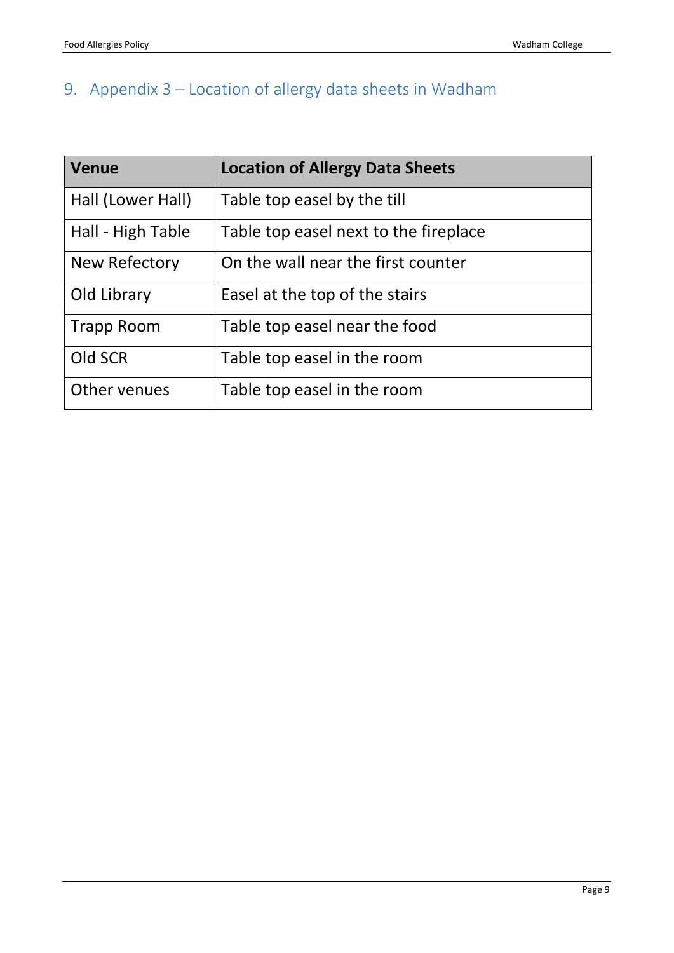# <span id="page-8-0"></span>9. Appendix 3 – Location of allergy data sheets in Wadham

| <b>Venue</b>      | <b>Location of Allergy Data Sheets</b> |
|-------------------|----------------------------------------|
| Hall (Lower Hall) | Table top easel by the till            |
| Hall - High Table | Table top easel next to the fireplace  |
| New Refectory     | On the wall near the first counter     |
| Old Library       | Easel at the top of the stairs         |
| <b>Trapp Room</b> | Table top easel near the food          |
| Old SCR           | Table top easel in the room            |
| Other venues      | Table top easel in the room            |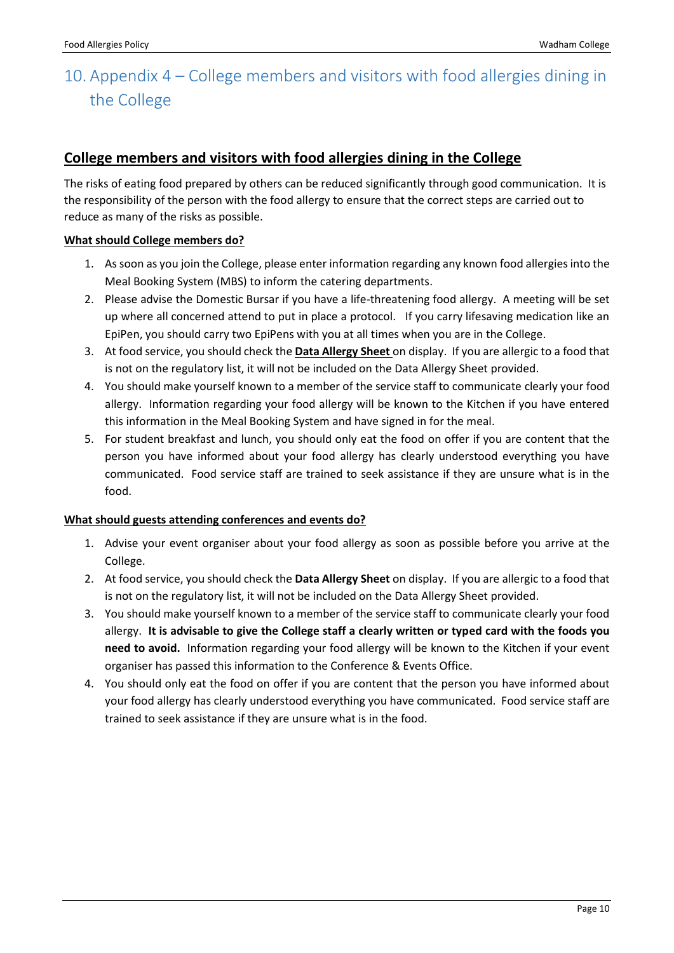# <span id="page-9-0"></span>10. Appendix 4 – College members and visitors with food allergies dining in the College

### **College members and visitors with food allergies dining in the College**

The risks of eating food prepared by others can be reduced significantly through good communication. It is the responsibility of the person with the food allergy to ensure that the correct steps are carried out to reduce as many of the risks as possible.

#### **What should College members do?**

- 1. As soon as you join the College, please enter information regarding any known food allergies into the Meal Booking System (MBS) to inform the catering departments.
- 2. Please advise the Domestic Bursar if you have a life-threatening food allergy. A meeting will be set up where all concerned attend to put in place a protocol. If you carry lifesaving medication like an EpiPen, you should carry two EpiPens with you at all times when you are in the College.
- 3. At food service, you should check the **Data Allergy Sheet** on display. If you are allergic to a food that is not on the regulatory list, it will not be included on the Data Allergy Sheet provided.
- 4. You should make yourself known to a member of the service staff to communicate clearly your food allergy. Information regarding your food allergy will be known to the Kitchen if you have entered this information in the Meal Booking System and have signed in for the meal.
- 5. For student breakfast and lunch, you should only eat the food on offer if you are content that the person you have informed about your food allergy has clearly understood everything you have communicated. Food service staff are trained to seek assistance if they are unsure what is in the food.

#### **What should guests attending conferences and events do?**

- 1. Advise your event organiser about your food allergy as soon as possible before you arrive at the College.
- 2. At food service, you should check the **Data Allergy Sheet** on display. If you are allergic to a food that is not on the regulatory list, it will not be included on the Data Allergy Sheet provided.
- 3. You should make yourself known to a member of the service staff to communicate clearly your food allergy. **It is advisable to give the College staff a clearly written or typed card with the foods you need to avoid.** Information regarding your food allergy will be known to the Kitchen if your event organiser has passed this information to the Conference & Events Office.
- 4. You should only eat the food on offer if you are content that the person you have informed about your food allergy has clearly understood everything you have communicated. Food service staff are trained to seek assistance if they are unsure what is in the food.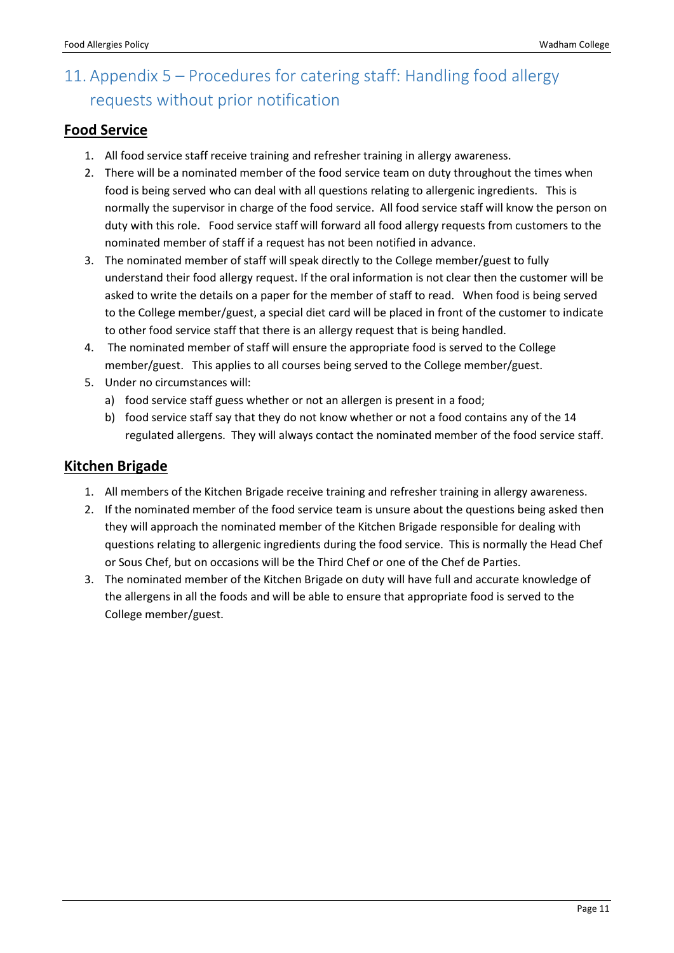# <span id="page-10-0"></span>11. Appendix 5 – Procedures for catering staff: Handling food allergy requests without prior notification

### **Food Service**

- 1. All food service staff receive training and refresher training in allergy awareness.
- 2. There will be a nominated member of the food service team on duty throughout the times when food is being served who can deal with all questions relating to allergenic ingredients. This is normally the supervisor in charge of the food service. All food service staff will know the person on duty with this role. Food service staff will forward all food allergy requests from customers to the nominated member of staff if a request has not been notified in advance.
- 3. The nominated member of staff will speak directly to the College member/guest to fully understand their food allergy request. If the oral information is not clear then the customer will be asked to write the details on a paper for the member of staff to read. When food is being served to the College member/guest, a special diet card will be placed in front of the customer to indicate to other food service staff that there is an allergy request that is being handled.
- 4. The nominated member of staff will ensure the appropriate food is served to the College member/guest. This applies to all courses being served to the College member/guest.
- 5. Under no circumstances will:
	- a) food service staff guess whether or not an allergen is present in a food;
	- b) food service staff say that they do not know whether or not a food contains any of the 14 regulated allergens. They will always contact the nominated member of the food service staff.

### **Kitchen Brigade**

- 1. All members of the Kitchen Brigade receive training and refresher training in allergy awareness.
- 2. If the nominated member of the food service team is unsure about the questions being asked then they will approach the nominated member of the Kitchen Brigade responsible for dealing with questions relating to allergenic ingredients during the food service. This is normally the Head Chef or Sous Chef, but on occasions will be the Third Chef or one of the Chef de Parties.
- 3. The nominated member of the Kitchen Brigade on duty will have full and accurate knowledge of the allergens in all the foods and will be able to ensure that appropriate food is served to the College member/guest.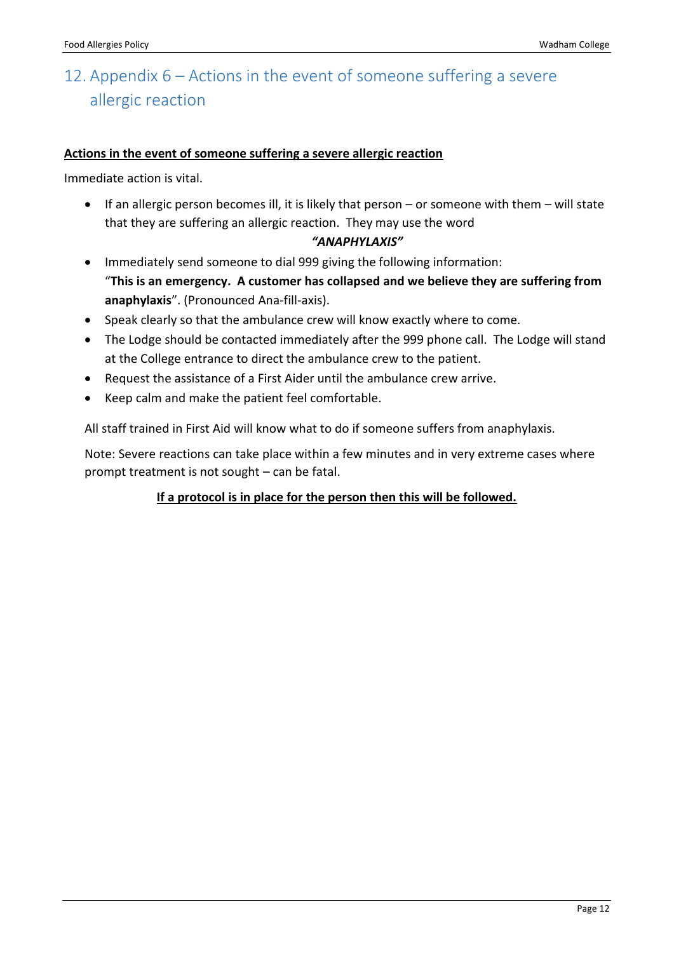### <span id="page-11-0"></span>12. Appendix 6 – Actions in the event of someone suffering a severe allergic reaction

### **Actions in the event of someone suffering a severe allergic reaction**

Immediate action is vital.

 If an allergic person becomes ill, it is likely that person – or someone with them – will state that they are suffering an allergic reaction. They may use the word

### *"ANAPHYLAXIS"*

- Immediately send someone to dial 999 giving the following information: "**This is an emergency. A customer has collapsed and we believe they are suffering from anaphylaxis**". (Pronounced Ana-fill-axis).
- Speak clearly so that the ambulance crew will know exactly where to come.
- The Lodge should be contacted immediately after the 999 phone call. The Lodge will stand at the College entrance to direct the ambulance crew to the patient.
- Request the assistance of a First Aider until the ambulance crew arrive.
- Keep calm and make the patient feel comfortable.

All staff trained in First Aid will know what to do if someone suffers from anaphylaxis.

Note: Severe reactions can take place within a few minutes and in very extreme cases where prompt treatment is not sought – can be fatal.

### **If a protocol is in place for the person then this will be followed.**